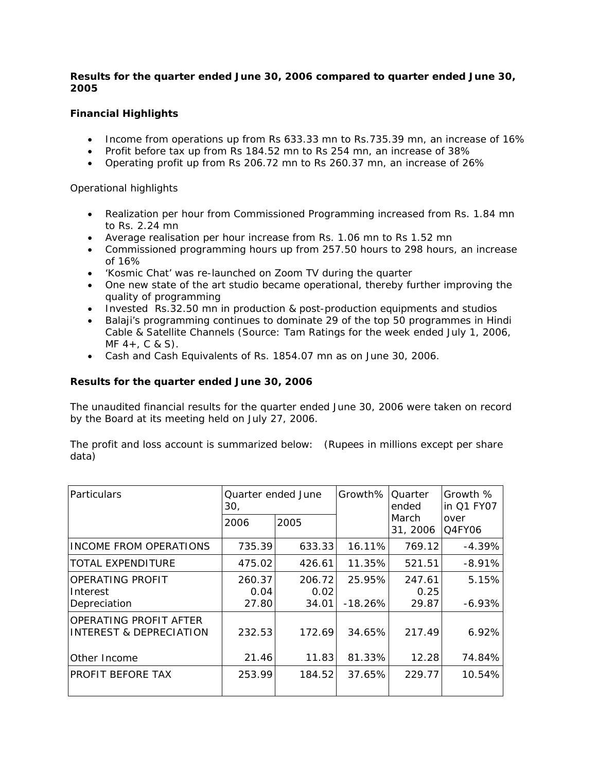# *Results for the quarter ended June 30, 2006 compared to quarter ended June 30, 2005*

# **Financial Highlights**

- Income from operations up from Rs 633.33 mn to Rs.735.39 mn, an increase of 16%
- Profit before tax up from Rs 184.52 mn to Rs 254 mn, an increase of 38%
- Operating profit up from Rs 206.72 mn to Rs 260.37 mn, an increase of 26%

Operational highlights

- Realization per hour from Commissioned Programming increased from Rs. 1.84 mn to Rs. 2.24 mn
- Average realisation per hour increase from Rs. 1.06 mn to Rs 1.52 mn
- Commissioned programming hours up from 257.50 hours to 298 hours, an increase of 16%
- 'Kosmic Chat' was re-launched on Zoom TV during the quarter
- One new state of the art studio became operational, thereby further improving the quality of programming
- Invested Rs.32.50 mn in production & post-production equipments and studios
- Balaji's programming continues to dominate 29 of the top 50 programmes in Hindi Cable & Satellite Channels (Source: Tam Ratings for the week ended July 1, 2006,  $MF$  4 +  $, C$  & S).
- Cash and Cash Equivalents of Rs. 1854.07 mn as on June 30, 2006.

# *Results for the quarter ended June 30, 2006*

The unaudited financial results for the quarter ended June 30, 2006 were taken on record by the Board at its meeting held on July 27, 2006.

The profit and loss account is summarized below: (Rupees in millions except per share data)

| Particulars                                       | Quarter ended June<br>30, |                         | Growth%             | Quarter<br>ended        | Growth %<br>in Q1 FY07 |
|---------------------------------------------------|---------------------------|-------------------------|---------------------|-------------------------|------------------------|
|                                                   | 2006                      | 2005                    |                     | March<br>31, 2006       | over<br>Q4FY06         |
| INCOME FROM OPERATIONS                            | 735.39                    | 633.33                  | 16.11%              | 769.12                  | $-4.39%$               |
| TOTAL EXPENDITURE                                 | 475.02                    | 426.61                  | 11.35%              | 521.51                  | $-8.91%$               |
| OPERATING PROFIT<br>Interest<br>Depreciation      | 260.37<br>0.04<br>27.80   | 206.72<br>0.02<br>34.01 | 25.95%<br>$-18.26%$ | 247.61<br>0.25<br>29.87 | 5.15%<br>$-6.93%$      |
| OPERATING PROFIT AFTER<br>INTEREST & DEPRECIATION | 232.53                    | 172.69                  | 34.65%              | 217.49                  | 6.92%                  |
| Other Income                                      | 21.46                     | 11.83                   | 81.33%              | 12.28                   | 74.84%                 |
| PROFIT BEFORE TAX                                 | 253.99                    | 184.52                  | 37.65%              | 229.77                  | 10.54%                 |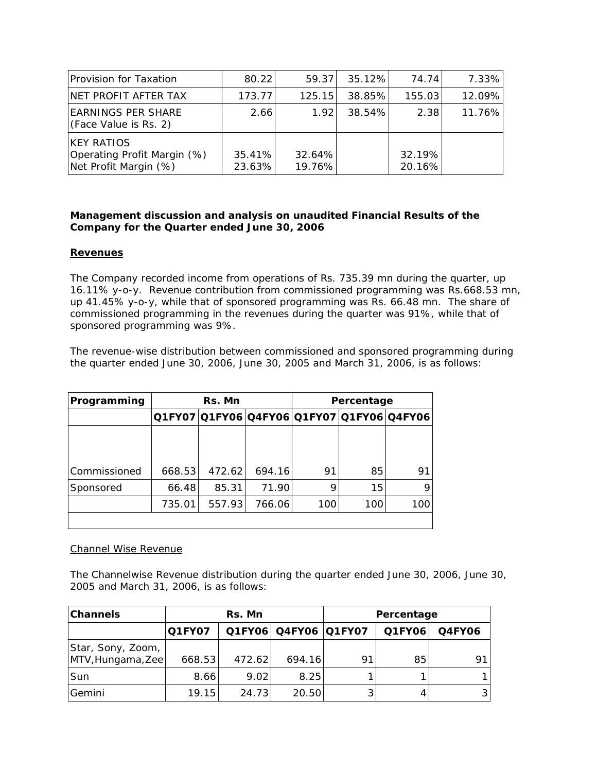| <b>Provision for Taxation</b>                                              | 80.22            | 59.37            | 35.12% | 74.74            | 7.33%  |
|----------------------------------------------------------------------------|------------------|------------------|--------|------------------|--------|
| NET PROFIT AFTER TAX                                                       | 173.77           | 125.15           | 38.85% | 155.03           | 12.09% |
| <b>EARNINGS PER SHARE</b><br>(Face Value is Rs. 2)                         | 2.66             | 1.92             | 38.54% | 2.38             | 11.76% |
| <b>IKEY RATIOS</b><br>Operating Profit Margin (%)<br>Net Profit Margin (%) | 35.41%<br>23.63% | 32.64%<br>19.76% |        | 32.19%<br>20.16% |        |

## *Management discussion and analysis on unaudited Financial Results of the Company for the Quarter ended June 30, 2006*

## **Revenues**

The Company recorded income from operations of Rs. 735.39 mn during the quarter, up 16.11% y-o-y. Revenue contribution from commissioned programming was Rs.668.53 mn, up 41.45% y-o-y, while that of sponsored programming was Rs. 66.48 mn. The share of commissioned programming in the revenues during the quarter was 91%, while that of sponsored programming was 9%.

The revenue-wise distribution between commissioned and sponsored programming during the quarter ended June 30, 2006, June 30, 2005 and March 31, 2006, is as follows:

| Programming  | <b>Rs. Mn</b>                             |        |        |     | Percentage |     |
|--------------|-------------------------------------------|--------|--------|-----|------------|-----|
|              | Q1FY07 Q1FY06 Q4FY06 Q1FY07 Q1FY06 Q4FY06 |        |        |     |            |     |
|              |                                           |        |        |     |            |     |
|              |                                           |        |        |     |            |     |
| Commissioned | 668.53                                    | 472.62 | 694.16 | 91  | 85         | 91  |
| Sponsored    | 66.48                                     | 85.31  | 71.90  | 9   | 15         |     |
|              | 735.01                                    | 557.93 | 766.06 | 100 | 100        | 100 |
|              |                                           |        |        |     |            |     |

#### Channel Wise Revenue

The Channelwise Revenue distribution during the quarter ended June 30, 2006, June 30, 2005 and March 31, 2006, is as follows:

| <b>Channels</b>                        | Rs. Mn        |        |                      | Percentage |        |               |
|----------------------------------------|---------------|--------|----------------------|------------|--------|---------------|
|                                        | <b>Q1FY07</b> |        | Q1FY06 Q4FY06 Q1FY07 |            | Q1FY06 | <b>Q4FY06</b> |
| Star, Sony, Zoom,<br>MTV, Hungama, Zee | 668.53        | 472.62 | 694.16               | 91         | 85     | 91            |
| Sun                                    | 8.66          | 9.02   | 8.25                 |            |        |               |
| Gemini                                 | 19.15         | 24.73  | 20.50                |            |        | 3             |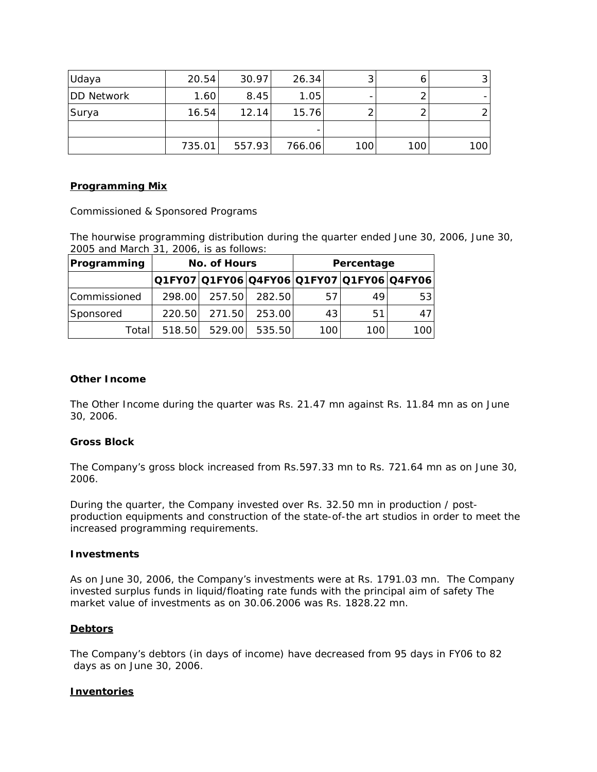| Udaya             | 20.54  | 30.97  | 26.34  |     |     | 31  |
|-------------------|--------|--------|--------|-----|-----|-----|
| <b>DD Network</b> | 1.60   | 8.45   | 1.05   |     |     |     |
| Surya             | 16.54  | 12.14  | 15.76  |     |     |     |
|                   |        |        |        |     |     |     |
|                   | 735.01 | 557.93 | 766.06 | 100 | 100 | 100 |

## *Programming Mix*

Commissioned & Sponsored Programs

The hourwise programming distribution during the quarter ended June 30, 2006, June 30, 2005 and March 31, 2006, is as follows:

| Programming  | No. of Hours                              |        |        |     | Percentage |      |
|--------------|-------------------------------------------|--------|--------|-----|------------|------|
|              | Q1FY07 Q1FY06 Q4FY06 Q1FY07 Q1FY06 Q4FY06 |        |        |     |            |      |
| Commissioned | 298.00                                    | 257.50 | 282.50 | 57  | 49         | 531  |
| Sponsored    | 220.50                                    | 271.50 | 253.00 | 43  | 51         | 47 I |
| Totall       | 518.50                                    | 529.00 | 535.50 | 100 | 1001       | 100  |

## **Other Income**

The Other Income during the quarter was Rs. 21.47 mn against Rs. 11.84 mn as on June 30, 2006.

## **Gross Block**

The Company's gross block increased from Rs.597.33 mn to Rs. 721.64 mn as on June 30, 2006.

During the quarter, the Company invested over Rs. 32.50 mn in production / postproduction equipments and construction of the state-of-the art studios in order to meet the increased programming requirements.

#### **Investments**

As on June 30, 2006, the Company's investments were at Rs. 1791.03 mn. The Company invested surplus funds in liquid/floating rate funds with the principal aim of safety *The market value of investments as on 30.06.2006 was Rs. 1828.22 mn.*

## **Debtors**

The Company's debtors (in days of income) have decreased from 95 days in FY06 to 82 days as on June 30, 2006.

## **Inventories**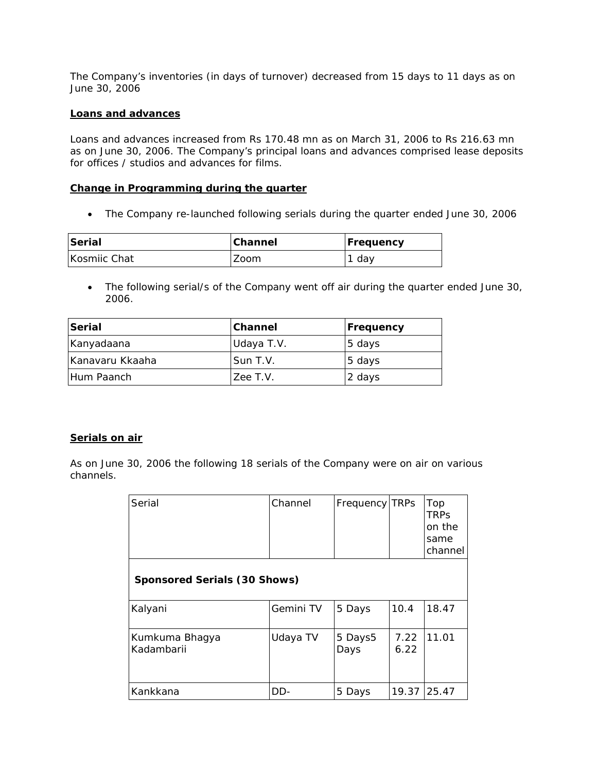The Company's inventories (in days of turnover) decreased from 15 days to 11 days as on June 30, 2006

#### **Loans and advances**

Loans and advances increased from Rs 170.48 mn as on March 31, 2006 to Rs 216.63 mn as on June 30, 2006. The Company's principal loans and advances comprised lease deposits for offices / studios and advances for films.

#### **Change in Programming during the quarter**

• The Company re-launched following serials during the quarter ended June 30, 2006

| <b>Serial</b> | Channel | Frequency |
|---------------|---------|-----------|
| Kosmiic Chat  | Zoom    | dav       |

• The following serial/s of the Company went off air during the quarter ended June 30, 2006.

| Serial          | <b>Channel</b> | Frequency |  |
|-----------------|----------------|-----------|--|
| Kanyadaana      | Udaya T.V.     | 5 days    |  |
| Kanavaru Kkaaha | Sun T.V.       | 5 days    |  |
| IHum Paanch     | Zee T.V.       | 2 days    |  |

## **Serials on air**

*As on June 30, 2006 the following 18 serials of the Company were on air on various channels.*

| Serial                       | Channel   | Frequency TRPs  |              | Top<br><b>TRPS</b><br>on the<br>same<br>channel |
|------------------------------|-----------|-----------------|--------------|-------------------------------------------------|
| Sponsored Serials (30 Shows) |           |                 |              |                                                 |
| Kalyani                      | Gemini TV | 5 Days          | 10.4         | 18.47                                           |
| Kumkuma Bhagya<br>Kadambarii | Udaya TV  | 5 Days5<br>Days | 7.22<br>6.22 | 11.01                                           |
| Kankkana                     | DD-       | 5 Days          | 19.37        | 25.47                                           |